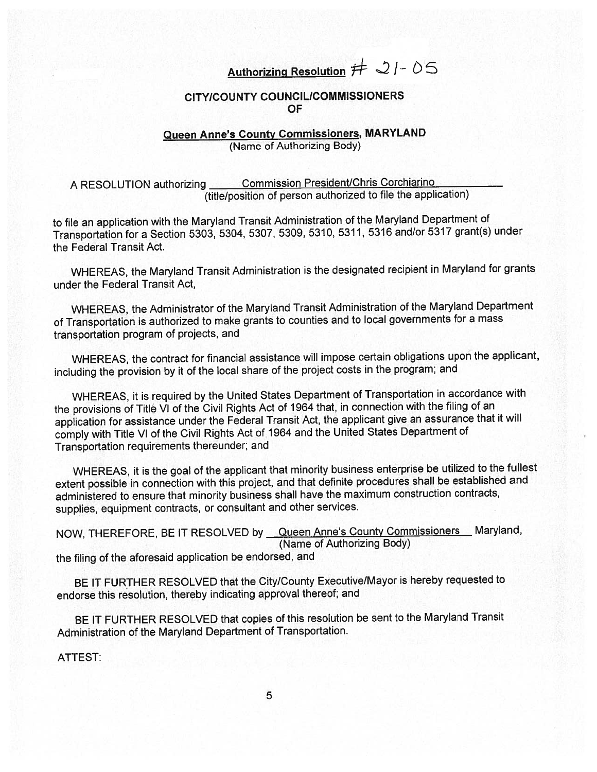## Authorizing Resolution  $# 21 - 05$

## CITY/COUNTY COUNCILICOMMISSIONERS OF

## Queen Anne's County Commissioners, MARYLAND (Name of Authorizing Body)

<sup>A</sup> RESOLUTION authorizing Commission President/Chris Corchiarino (title/position of person authorized to file the application)

to file an application with the Maryland Transit Administration of the Maryland Department of Transportation for <sup>a</sup> Section 5303, 5304, 5307, 5309, 5310, 5311, <sup>5316</sup> and/or <sup>5317</sup> grant(s) under the Federal Transit Act.

WHEREAS, the Maryland Transit Administration is the designated recipient in Maryland for grants under the Federal Transit Act,

WHEREAS, the Administrator of the Maryland Transit Administration of the Maryland Department of Transportation is authorized to make grants to counties and to local governments for <sup>a</sup> mass transportation program of projects, and

WHEREAS, the contract for financial assistance will impose certain obligations upon the applicant, including the provision by it of the local share of the project costs in the program; and

WHEREAS, it is required by the United States Department of Transportation in accordance with the provisions of Title VI of the Civil Rights Act of <sup>1964</sup> that, in connection with the filing of an application for assistance under the Federal Transit Act, the applicant <sup>g</sup>ive an assurance that it will comply with Title VI of the Civil Rights Act of <sup>1964</sup> and the United States Department of Transportation requirements thereunder; and

WHEREAS, it is the goa<sup>l</sup> of the applicant that minority business enterprise be utilized to the fullest extent possible in connection with this project, and that definite procedures shall be established and administered to ensure that minority business shall have the maximum construction contracts, supplies, equipment contracts, or consultant and other services.

NOW, THEREFORE, BE IT RESOLVED by Queen Anne's County Commissioners Maryland, (Name of Authorizing Body)

the filing of the aforesaid application be endorsed, and

BE IT FURTHER RESOLVED that the City/County Executive/Mayor is hereby requested to endorse this resolution, thereby indicating approva<sup>l</sup> thereof; and

BE IT FURTHER RESOLVED that copies of this resolution be sent to the Maryland Transit Administration of the Maryland Department of Transportation.

ATTEST: